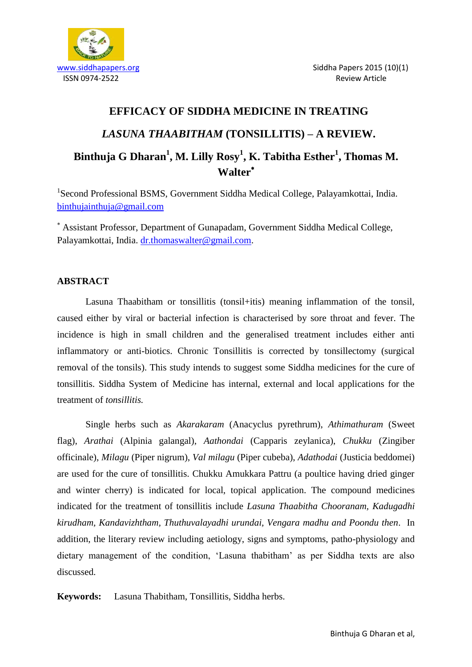

# **EFFICACY OF SIDDHA MEDICINE IN TREATING**  *LASUNA THAABITHAM* **(TONSILLITIS) – A REVIEW. Binthuja G Dharan<sup>1</sup> , M. Lilly Rosy<sup>1</sup> , K. Tabitha Esther<sup>1</sup> , Thomas M. Walter**

<sup>1</sup>Second Professional BSMS, Government Siddha Medical College, Palayamkottai, India. [binthujainthuja@gmail.com](mailto:binthujainthuja@gmail.com)

 Assistant Professor, Department of Gunapadam, Government Siddha Medical College, Palayamkottai, India. [dr.thomaswalter@gmail.com.](mailto:dr.thomaswalter@gmail.com)

# **ABSTRACT**

Lasuna Thaabitham or tonsillitis (tonsil+itis) meaning inflammation of the tonsil, caused either by viral or bacterial infection is characterised by sore throat and fever. The incidence is high in small children and the generalised treatment includes either anti inflammatory or anti-biotics. Chronic Tonsillitis is corrected by tonsillectomy (surgical removal of the tonsils). This study intends to suggest some Siddha medicines for the cure of tonsillitis. Siddha System of Medicine has internal, external and local applications for the treatment of *tonsillitis.*

Single herbs such as *Akarakaram* (Anacyclus pyrethrum), *Athimathuram* (Sweet flag), *Arathai* (Alpinia galangal), *Aathondai* (Capparis zeylanica), *Chukku* (Zingiber officinale), *Milagu* (Piper nigrum), *Val milagu* (Piper cubeba), *Adathodai* (Justicia beddomei) are used for the cure of tonsillitis. Chukku Amukkara Pattru (a poultice having dried ginger and winter cherry) is indicated for local, topical application. The compound medicines indicated for the treatment of tonsillitis include *Lasuna Thaabitha Chooranam, Kadugadhi kirudham, Kandavizhtham, Thuthuvalayadhi urundai, Vengara madhu and Poondu then*. In addition, the literary review including aetiology, signs and symptoms, patho-physiology and dietary management of the condition, 'Lasuna thabitham' as per Siddha texts are also discussed.

**Keywords:** Lasuna Thabitham, Tonsillitis, Siddha herbs.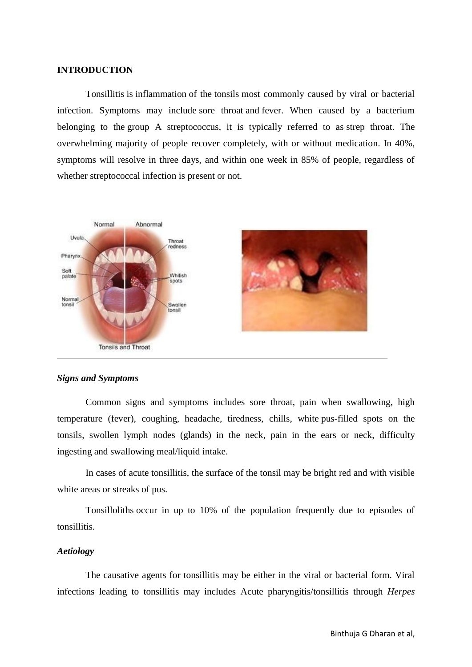# **INTRODUCTION**

Tonsillitis is [inflammation](http://en.wikipedia.org/wiki/Inflammation) of the [tonsils](http://en.wikipedia.org/wiki/Tonsil) most commonly caused by viral or bacterial infection. Symptoms may include [sore throat](http://en.wikipedia.org/wiki/Sore_throat) and [fever.](http://en.wikipedia.org/wiki/Fever) When caused by a bacterium belonging to the [group A streptococcus,](http://en.wikipedia.org/wiki/Group_A_streptococcus) it is typically referred to as [strep throat.](http://en.wikipedia.org/wiki/Strep_throat) The overwhelming majority of people recover completely, with or without medication. In 40%, symptoms will resolve in three days, and within one week in 85% of people, regardless of whether streptococcal infection is present or not.



#### *Signs and Symptoms*

Common signs and symptoms includes sore throat, pain when swallowing, high temperature (fever), coughing, headache, tiredness, [chills,](http://en.wikipedia.org/wiki/Chills) white pus-filled spots on the tonsils, swollen lymph nodes (glands) in the neck, pain in the ears or neck, difficulty ingesting and swallowing meal/liquid intake.

In cases of acute tonsillitis, the surface of the tonsil may be bright red and with visible white areas or streaks of pus.

Tonsilloliths occur in up to 10% of the population frequently due to episodes of tonsillitis.

#### *Aetiology*

The causative agents for tonsillitis may be either in the viral or bacterial form. Viral infections leading to tonsillitis may includes Acute pharyngitis/tonsillitis through *Herpes*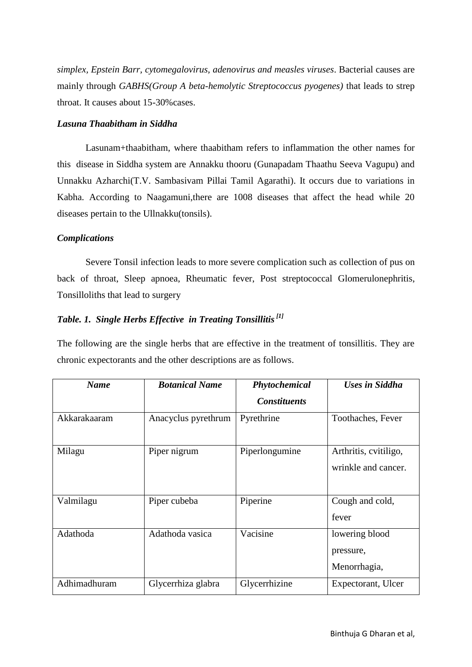*simplex, Epstein Barr, cytomegalovirus, adenovirus and measles viruses*. Bacterial causes are mainly through *GABHS(Group A beta-hemolytic Streptococcus pyogenes)* that leads to strep throat. It causes about 15-30%cases.

# *Lasuna Thaabitham in Siddha*

Lasunam+thaabitham, where thaabitham refers to inflammation the other names for this disease in Siddha system are Annakku thooru (Gunapadam Thaathu Seeva Vagupu) and Unnakku Azharchi(T.V. Sambasivam Pillai Tamil Agarathi). It occurs due to variations in Kabha. According to Naagamuni,there are 1008 diseases that affect the head while 20 diseases pertain to the Ullnakku(tonsils).

# *Complications*

Severe Tonsil infection leads to more severe complication such as collection of pus on back of throat, Sleep apnoea, Rheumatic fever, Post streptococcal Glomerulonephritis, Tonsilloliths that lead to surgery

# *Table. 1. Single Herbs Effective in Treating Tonsillitis[1]*

The following are the single herbs that are effective in the treatment of tonsillitis. They are chronic expectorants and the other descriptions are as follows.

| <b>Name</b>  | <b>Botanical Name</b> | Phytochemical       | <b>Uses in Siddha</b>                        |
|--------------|-----------------------|---------------------|----------------------------------------------|
|              |                       | <b>Constituents</b> |                                              |
| Akkarakaaram | Anacyclus pyrethrum   | Pyrethrine          | Toothaches, Fever                            |
| Milagu       | Piper nigrum          | Piperlongumine      | Arthritis, cvitiligo,<br>wrinkle and cancer. |
| Valmilagu    | Piper cubeba          | Piperine            | Cough and cold,<br>fever                     |
| Adathoda     | Adathoda vasica       | Vacisine            | lowering blood<br>pressure,<br>Menorrhagia,  |
| Adhimadhuram | Glycerrhiza glabra    | Glycerrhizine       | Expectorant, Ulcer                           |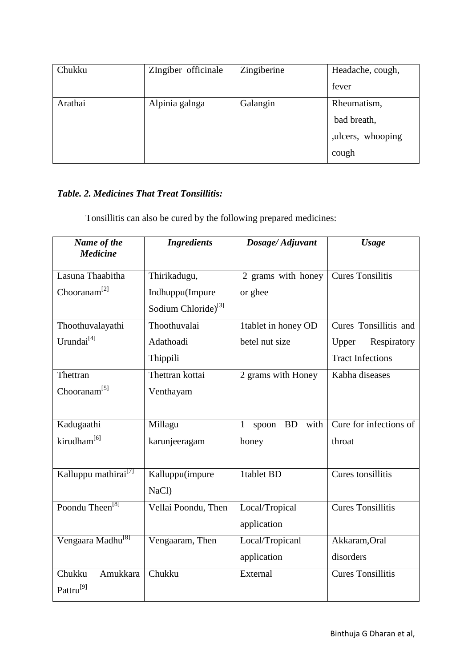| Chukku  | ZIngiber officinale | Zingiberine | Headache, cough,   |
|---------|---------------------|-------------|--------------------|
|         |                     |             | fever              |
| Arathai | Alpinia galnga      | Galangin    | Rheumatism,        |
|         |                     |             | bad breath,        |
|         |                     |             | , ulcers, whooping |
|         |                     |             | cough              |

# *Table. 2. Medicines That Treat Tonsillitis:*

Tonsillitis can also be cured by the following prepared medicines:

| Name of the<br><b>Medicine</b>   | <b>Ingredients</b>              | Dosage/Adjuvant                            | <b>Usage</b>             |
|----------------------------------|---------------------------------|--------------------------------------------|--------------------------|
| Lasuna Thaabitha                 | Thirikadugu,                    | 2 grams with honey                         | <b>Cures Tonsilitis</b>  |
| Chooranam <sup>[2]</sup>         | Indhuppu(Impure                 | or ghee                                    |                          |
|                                  | Sodium Chloride) <sup>[3]</sup> |                                            |                          |
| Thoothuvalayathi                 | Thoothuvalai                    | 1tablet in honey OD                        | Cures Tonsillitis and    |
| Urundai <sup>[4]</sup>           | Adathoadi                       | betel nut size                             | Respiratory<br>Upper     |
|                                  | Thippili                        |                                            | <b>Tract Infections</b>  |
| Thettran                         | Thettran kottai                 | 2 grams with Honey                         | Kabha diseases           |
| Chooranam <sup>[5]</sup>         | Venthayam                       |                                            |                          |
|                                  |                                 |                                            |                          |
| Kadugaathi                       | Millagu                         | with<br><b>BD</b><br>$\mathbf{1}$<br>spoon | Cure for infections of   |
| kirudham <sup>[6]</sup>          | karunjeeragam                   | honey                                      | throat                   |
|                                  |                                 |                                            |                          |
| Kalluppu mathirai <sup>[7]</sup> | Kalluppu(impure                 | 1tablet BD                                 | Cures tonsillitis        |
|                                  | NaCl)                           |                                            |                          |
| Poondu Theen <sup>[8]</sup>      | Vellai Poondu, Then             | Local/Tropical                             | <b>Cures Tonsillitis</b> |
|                                  |                                 | application                                |                          |
| Vengaara Madhu <sup>[8]</sup>    | Vengaaram, Then                 | Local/Tropicanl                            | Akkaram, Oral            |
|                                  |                                 | application                                | disorders                |
| Chukku<br>Amukkara               | Chukku                          | External                                   | <b>Cures Tonsillitis</b> |
| Pattru <sup>[9]</sup>            |                                 |                                            |                          |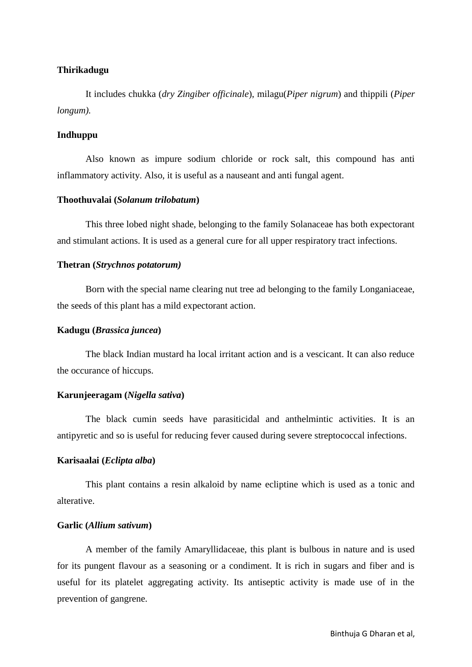## **Thirikadugu**

It includes chukka (*dry Zingiber officinale*), milagu(*Piper nigrum*) and thippili (*Piper longum).*

# **Indhuppu**

Also known as impure sodium chloride or rock salt, this compound has anti inflammatory activity. Also, it is useful as a nauseant and anti fungal agent.

#### **Thoothuvalai (***Solanum trilobatum***)**

This three lobed night shade, belonging to the family Solanaceae has both expectorant and stimulant actions. It is used as a general cure for all upper respiratory tract infections.

#### **Thetran (***Strychnos potatorum)*

Born with the special name clearing nut tree ad belonging to the family Longaniaceae, the seeds of this plant has a mild expectorant action.

#### **Kadugu (***Brassica juncea***)**

The black Indian mustard ha local irritant action and is a vescicant. It can also reduce the occurance of hiccups.

#### **Karunjeeragam (***Nigella sativa***)**

The black cumin seeds have parasiticidal and anthelmintic activities. It is an antipyretic and so is useful for reducing fever caused during severe streptococcal infections.

#### **Karisaalai (***Eclipta alba***)**

This plant contains a resin alkaloid by name ecliptine which is used as a tonic and alterative.

## **Garlic (***Allium sativum***)**

A member of the family Amaryllidaceae, this plant is bulbous in nature and is used for its pungent flavour as a seasoning or a condiment. It is rich in sugars and fiber and is useful for its platelet aggregating activity. Its antiseptic activity is made use of in the prevention of gangrene.